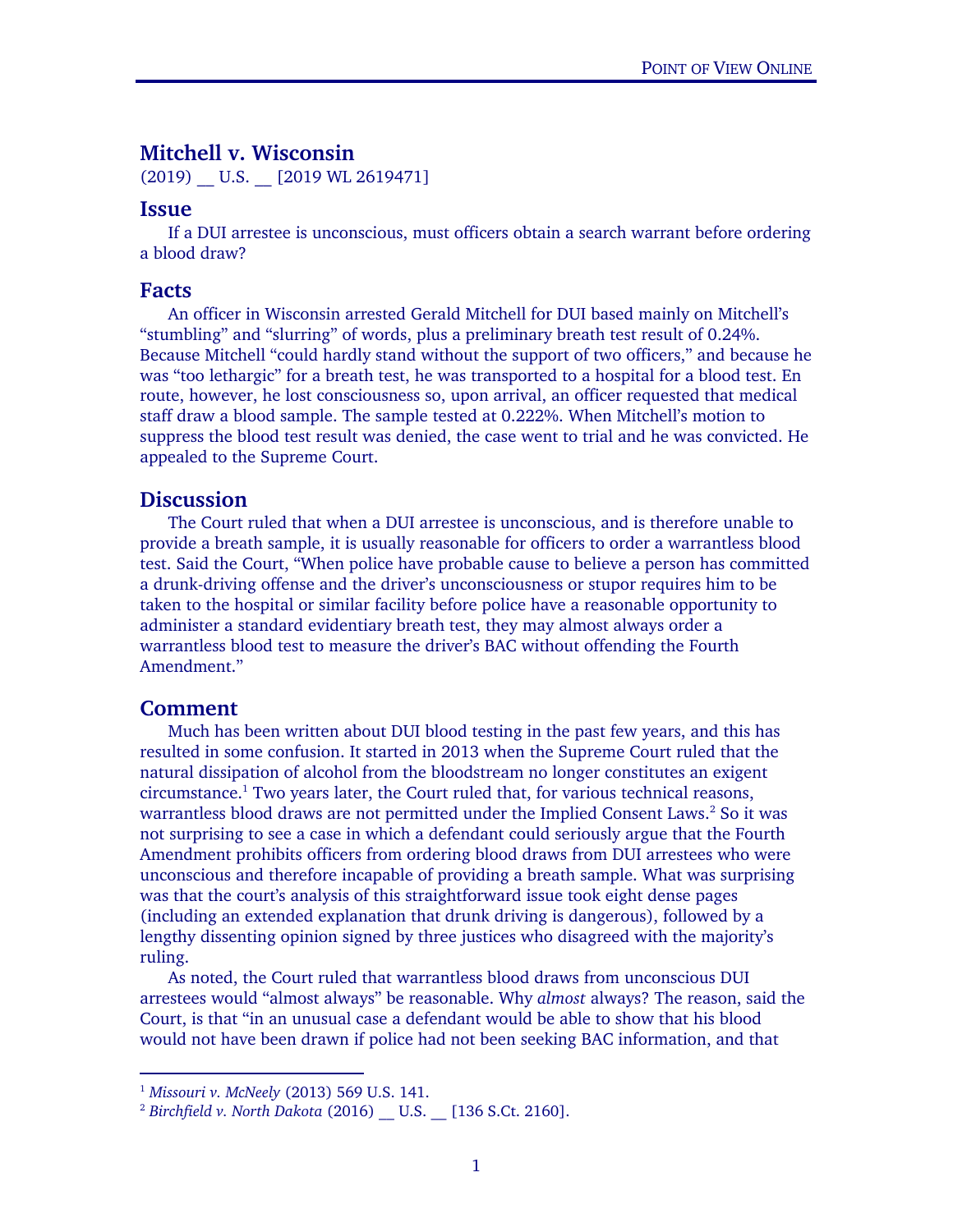# Mitchell v. Wisconsin

(2019) U.S. [2019 WL 2619471]

### Issue

If a DUI arrestee is unconscious, must officers obtain a search warrant before ordering a blood draw?

### Facts

 An officer in Wisconsin arrested Gerald Mitchell for DUI based mainly on Mitchell's "stumbling" and "slurring" of words, plus a preliminary breath test result of 0.24%. Because Mitchell "could hardly stand without the support of two officers," and because he was "too lethargic" for a breath test, he was transported to a hospital for a blood test. En route, however, he lost consciousness so, upon arrival, an officer requested that medical staff draw a blood sample. The sample tested at 0.222%. When Mitchell's motion to suppress the blood test result was denied, the case went to trial and he was convicted. He appealed to the Supreme Court.

## **Discussion**

The Court ruled that when a DUI arrestee is unconscious, and is therefore unable to provide a breath sample, it is usually reasonable for officers to order a warrantless blood test. Said the Court, "When police have probable cause to believe a person has committed a drunk-driving offense and the driver's unconsciousness or stupor requires him to be taken to the hospital or similar facility before police have a reasonable opportunity to administer a standard evidentiary breath test, they may almost always order a warrantless blood test to measure the driver's BAC without offending the Fourth Amendment."

### Comment

 $\overline{a}$ 

Much has been written about DUI blood testing in the past few years, and this has resulted in some confusion. It started in 2013 when the Supreme Court ruled that the natural dissipation of alcohol from the bloodstream no longer constitutes an exigent  $circumstance.<sup>1</sup>$  Two years later, the Court ruled that, for various technical reasons, warrantless blood draws are not permitted under the Implied Consent Laws.<sup>2</sup> So it was not surprising to see a case in which a defendant could seriously argue that the Fourth Amendment prohibits officers from ordering blood draws from DUI arrestees who were unconscious and therefore incapable of providing a breath sample. What was surprising was that the court's analysis of this straightforward issue took eight dense pages (including an extended explanation that drunk driving is dangerous), followed by a lengthy dissenting opinion signed by three justices who disagreed with the majority's ruling.

As noted, the Court ruled that warrantless blood draws from unconscious DUI arrestees would "almost always" be reasonable. Why *almost* always? The reason, said the Court, is that "in an unusual case a defendant would be able to show that his blood would not have been drawn if police had not been seeking BAC information, and that

<sup>&</sup>lt;sup>1</sup> Missouri v. McNeely (2013) 569 U.S. 141.<br><sup>2</sup> Birchfield v. North Dakota (2016) U.S. [136 S.Ct. 2160].